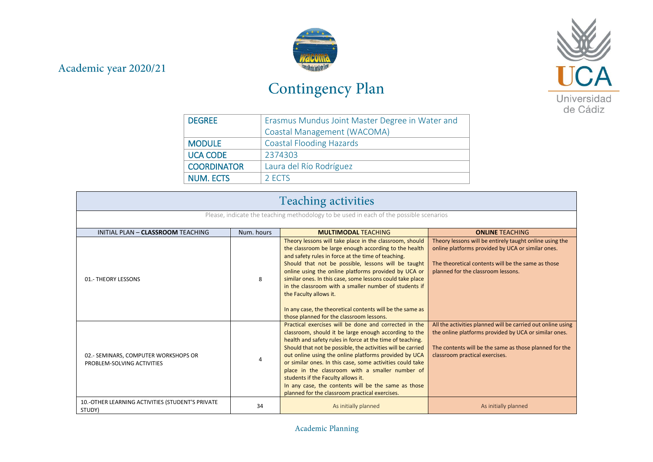## Academic year 2020/21



## Contingency Plan



| <b>DEGREE</b>      | Erasmus Mundus Joint Master Degree in Water and |
|--------------------|-------------------------------------------------|
|                    | Coastal Management (WACOMA)                     |
| <b>MODULE</b>      | <b>Coastal Flooding Hazards</b>                 |
| <b>UCA CODE</b>    | 2374303                                         |
| <b>COORDINATOR</b> | Laura del Río Rodríguez                         |
| <b>NUM. ECTS</b>   | 2 FCTS                                          |

| <b>Teaching activities</b>                                                             |            |                                                                                                                                                                                                                                                                                                                                                                                                                                                                                                                                                                    |                                                                                                                                                                                                                  |
|----------------------------------------------------------------------------------------|------------|--------------------------------------------------------------------------------------------------------------------------------------------------------------------------------------------------------------------------------------------------------------------------------------------------------------------------------------------------------------------------------------------------------------------------------------------------------------------------------------------------------------------------------------------------------------------|------------------------------------------------------------------------------------------------------------------------------------------------------------------------------------------------------------------|
| Please, indicate the teaching methodology to be used in each of the possible scenarios |            |                                                                                                                                                                                                                                                                                                                                                                                                                                                                                                                                                                    |                                                                                                                                                                                                                  |
| INITIAL PLAN - CLASSROOM TEACHING                                                      | Num, hours | <b>MULTIMODAL TEACHING</b>                                                                                                                                                                                                                                                                                                                                                                                                                                                                                                                                         | <b>ONLINE TEACHING</b>                                                                                                                                                                                           |
| 01.- THEORY LESSONS                                                                    | 8          | Theory lessons will take place in the classroom, should<br>the classroom be large enough according to the health<br>and safety rules in force at the time of teaching.<br>Should that not be possible, lessons will be taught<br>online using the online platforms provided by UCA or<br>similar ones. In this case, some lessons could take place<br>in the classroom with a smaller number of students if<br>the Faculty allows it.<br>In any case, the theoretical contents will be the same as<br>those planned for the classroom lessons.                     | Theory lessons will be entirely taught online using the<br>online platforms provided by UCA or similar ones.<br>The theoretical contents will be the same as those<br>planned for the classroom lessons.         |
| 02.- SEMINARS, COMPUTER WORKSHOPS OR<br>PROBLEM-SOLVING ACTIVITIES                     | 4          | Practical exercises will be done and corrected in the<br>classroom, should it be large enough according to the<br>health and safety rules in force at the time of teaching.<br>Should that not be possible, the activities will be carried<br>out online using the online platforms provided by UCA<br>or similar ones. In this case, some activities could take<br>place in the classroom with a smaller number of<br>students if the Faculty allows it.<br>In any case, the contents will be the same as those<br>planned for the classroom practical exercises. | All the activities planned will be carried out online using<br>the online platforms provided by UCA or similar ones.<br>The contents will be the same as those planned for the<br>classroom practical exercises. |
| 10.-OTHER LEARNING ACTIVITIES (STUDENT'S PRIVATE<br>STUDY)                             | 34         | As initially planned                                                                                                                                                                                                                                                                                                                                                                                                                                                                                                                                               | As initially planned                                                                                                                                                                                             |

Academic Planning